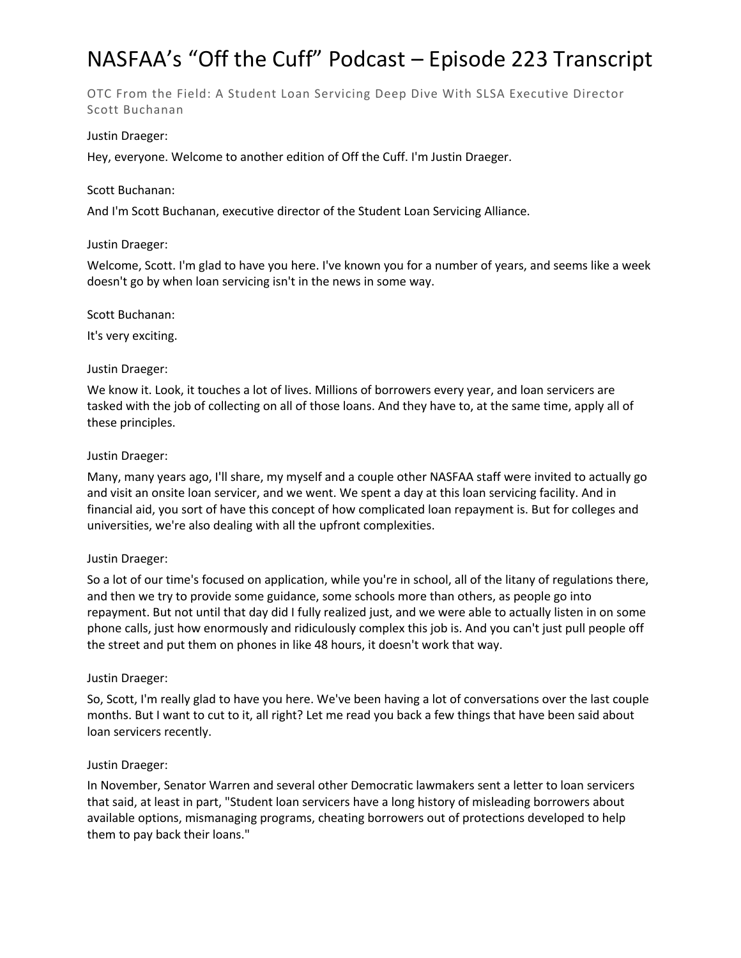# NASFAA's "Off the Cuff" Podcast – Episode 223 Transcript

OTC From the Field: A Student Loan Servicing Deep Dive With SLSA Executive Director Scott Buchanan

# Justin Draeger:

Hey, everyone. Welcome to another edition of Off the Cuff. I'm Justin Draeger.

## Scott Buchanan:

And I'm Scott Buchanan, executive director of the Student Loan Servicing Alliance.

## Justin Draeger:

Welcome, Scott. I'm glad to have you here. I've known you for a number of years, and seems like a week doesn't go by when loan servicing isn't in the news in some way.

## Scott Buchanan:

It's very exciting.

## Justin Draeger:

We know it. Look, it touches a lot of lives. Millions of borrowers every year, and loan servicers are tasked with the job of collecting on all of those loans. And they have to, at the same time, apply all of these principles.

## Justin Draeger:

Many, many years ago, I'll share, my myself and a couple other NASFAA staff were invited to actually go and visit an onsite loan servicer, and we went. We spent a day at this loan servicing facility. And in financial aid, you sort of have this concept of how complicated loan repayment is. But for colleges and universities, we're also dealing with all the upfront complexities.

# Justin Draeger:

So a lot of our time's focused on application, while you're in school, all of the litany of regulations there, and then we try to provide some guidance, some schools more than others, as people go into repayment. But not until that day did I fully realized just, and we were able to actually listen in on some phone calls, just how enormously and ridiculously complex this job is. And you can't just pull people off the street and put them on phones in like 48 hours, it doesn't work that way.

# Justin Draeger:

So, Scott, I'm really glad to have you here. We've been having a lot of conversations over the last couple months. But I want to cut to it, all right? Let me read you back a few things that have been said about loan servicers recently.

# Justin Draeger:

In November, Senator Warren and several other Democratic lawmakers sent a letter to loan servicers that said, at least in part, "Student loan servicers have a long history of misleading borrowers about available options, mismanaging programs, cheating borrowers out of protections developed to help them to pay back their loans."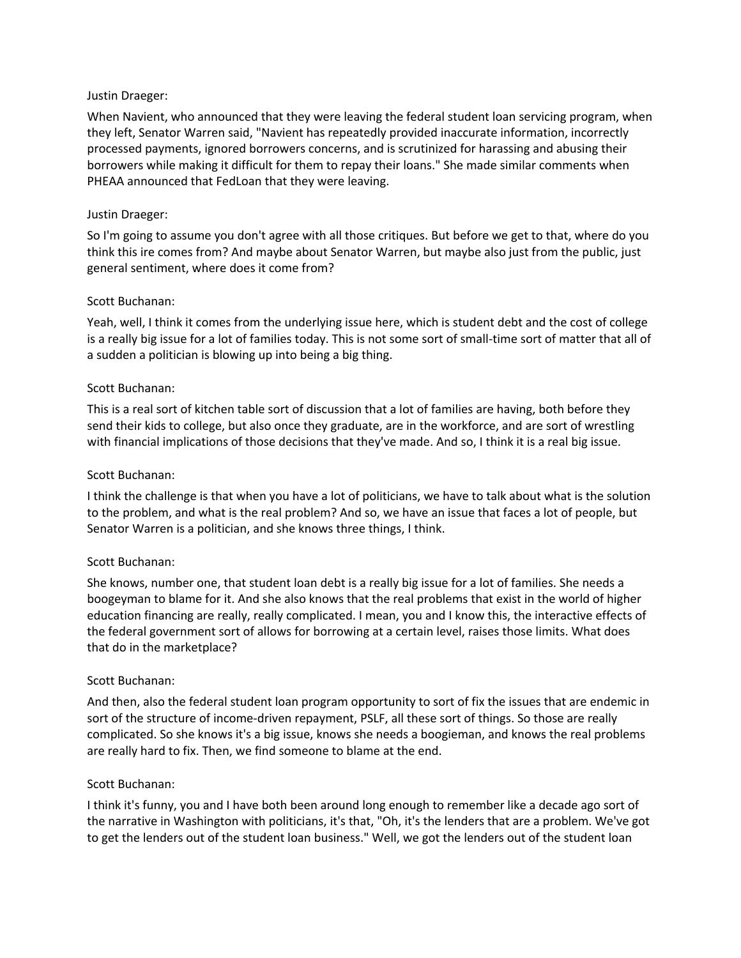When Navient, who announced that they were leaving the federal student loan servicing program, when they left, Senator Warren said, "Navient has repeatedly provided inaccurate information, incorrectly processed payments, ignored borrowers concerns, and is scrutinized for harassing and abusing their borrowers while making it difficult for them to repay their loans." She made similar comments when PHEAA announced that FedLoan that they were leaving.

## Justin Draeger:

So I'm going to assume you don't agree with all those critiques. But before we get to that, where do you think this ire comes from? And maybe about Senator Warren, but maybe also just from the public, just general sentiment, where does it come from?

## Scott Buchanan:

Yeah, well, I think it comes from the underlying issue here, which is student debt and the cost of college is a really big issue for a lot of families today. This is not some sort of small-time sort of matter that all of a sudden a politician is blowing up into being a big thing.

## Scott Buchanan:

This is a real sort of kitchen table sort of discussion that a lot of families are having, both before they send their kids to college, but also once they graduate, are in the workforce, and are sort of wrestling with financial implications of those decisions that they've made. And so, I think it is a real big issue.

#### Scott Buchanan:

I think the challenge is that when you have a lot of politicians, we have to talk about what is the solution to the problem, and what is the real problem? And so, we have an issue that faces a lot of people, but Senator Warren is a politician, and she knows three things, I think.

# Scott Buchanan:

She knows, number one, that student loan debt is a really big issue for a lot of families. She needs a boogeyman to blame for it. And she also knows that the real problems that exist in the world of higher education financing are really, really complicated. I mean, you and I know this, the interactive effects of the federal government sort of allows for borrowing at a certain level, raises those limits. What does that do in the marketplace?

#### Scott Buchanan:

And then, also the federal student loan program opportunity to sort of fix the issues that are endemic in sort of the structure of income-driven repayment, PSLF, all these sort of things. So those are really complicated. So she knows it's a big issue, knows she needs a boogieman, and knows the real problems are really hard to fix. Then, we find someone to blame at the end.

#### Scott Buchanan:

I think it's funny, you and I have both been around long enough to remember like a decade ago sort of the narrative in Washington with politicians, it's that, "Oh, it's the lenders that are a problem. We've got to get the lenders out of the student loan business." Well, we got the lenders out of the student loan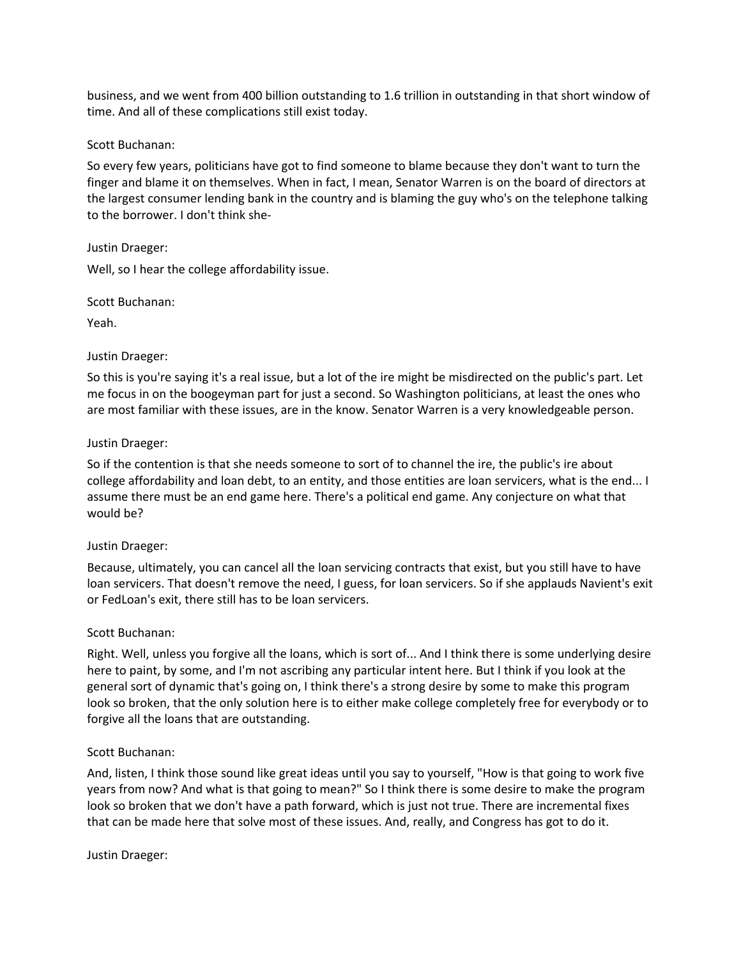business, and we went from 400 billion outstanding to 1.6 trillion in outstanding in that short window of time. And all of these complications still exist today.

# Scott Buchanan:

So every few years, politicians have got to find someone to blame because they don't want to turn the finger and blame it on themselves. When in fact, I mean, Senator Warren is on the board of directors at the largest consumer lending bank in the country and is blaming the guy who's on the telephone talking to the borrower. I don't think she-

## Justin Draeger:

Well, so I hear the college affordability issue.

Scott Buchanan:

Yeah.

## Justin Draeger:

So this is you're saying it's a real issue, but a lot of the ire might be misdirected on the public's part. Let me focus in on the boogeyman part for just a second. So Washington politicians, at least the ones who are most familiar with these issues, are in the know. Senator Warren is a very knowledgeable person.

## Justin Draeger:

So if the contention is that she needs someone to sort of to channel the ire, the public's ire about college affordability and loan debt, to an entity, and those entities are loan servicers, what is the end... I assume there must be an end game here. There's a political end game. Any conjecture on what that would be?

# Justin Draeger:

Because, ultimately, you can cancel all the loan servicing contracts that exist, but you still have to have loan servicers. That doesn't remove the need, I guess, for loan servicers. So if she applauds Navient's exit or FedLoan's exit, there still has to be loan servicers.

# Scott Buchanan:

Right. Well, unless you forgive all the loans, which is sort of... And I think there is some underlying desire here to paint, by some, and I'm not ascribing any particular intent here. But I think if you look at the general sort of dynamic that's going on, I think there's a strong desire by some to make this program look so broken, that the only solution here is to either make college completely free for everybody or to forgive all the loans that are outstanding.

# Scott Buchanan:

And, listen, I think those sound like great ideas until you say to yourself, "How is that going to work five years from now? And what is that going to mean?" So I think there is some desire to make the program look so broken that we don't have a path forward, which is just not true. There are incremental fixes that can be made here that solve most of these issues. And, really, and Congress has got to do it.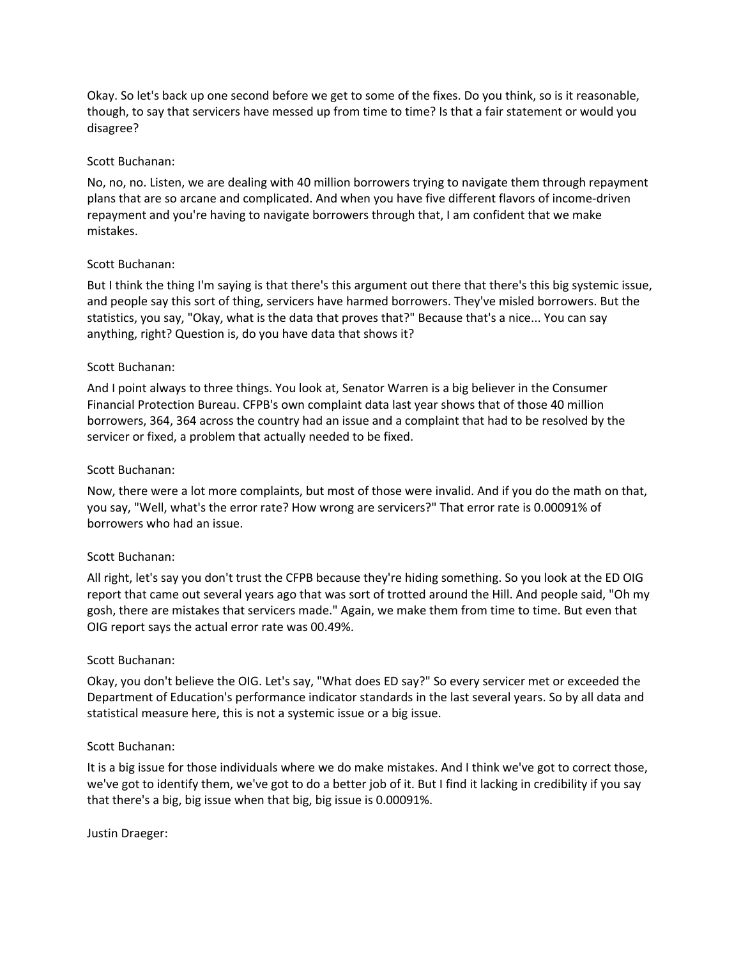Okay. So let's back up one second before we get to some of the fixes. Do you think, so is it reasonable, though, to say that servicers have messed up from time to time? Is that a fair statement or would you disagree?

## Scott Buchanan:

No, no, no. Listen, we are dealing with 40 million borrowers trying to navigate them through repayment plans that are so arcane and complicated. And when you have five different flavors of income-driven repayment and you're having to navigate borrowers through that, I am confident that we make mistakes.

## Scott Buchanan:

But I think the thing I'm saying is that there's this argument out there that there's this big systemic issue, and people say this sort of thing, servicers have harmed borrowers. They've misled borrowers. But the statistics, you say, "Okay, what is the data that proves that?" Because that's a nice... You can say anything, right? Question is, do you have data that shows it?

## Scott Buchanan:

And I point always to three things. You look at, Senator Warren is a big believer in the Consumer Financial Protection Bureau. CFPB's own complaint data last year shows that of those 40 million borrowers, 364, 364 across the country had an issue and a complaint that had to be resolved by the servicer or fixed, a problem that actually needed to be fixed.

## Scott Buchanan:

Now, there were a lot more complaints, but most of those were invalid. And if you do the math on that, you say, "Well, what's the error rate? How wrong are servicers?" That error rate is 0.00091% of borrowers who had an issue.

#### Scott Buchanan:

All right, let's say you don't trust the CFPB because they're hiding something. So you look at the ED OIG report that came out several years ago that was sort of trotted around the Hill. And people said, "Oh my gosh, there are mistakes that servicers made." Again, we make them from time to time. But even that OIG report says the actual error rate was 00.49%.

#### Scott Buchanan:

Okay, you don't believe the OIG. Let's say, "What does ED say?" So every servicer met or exceeded the Department of Education's performance indicator standards in the last several years. So by all data and statistical measure here, this is not a systemic issue or a big issue.

#### Scott Buchanan:

It is a big issue for those individuals where we do make mistakes. And I think we've got to correct those, we've got to identify them, we've got to do a better job of it. But I find it lacking in credibility if you say that there's a big, big issue when that big, big issue is 0.00091%.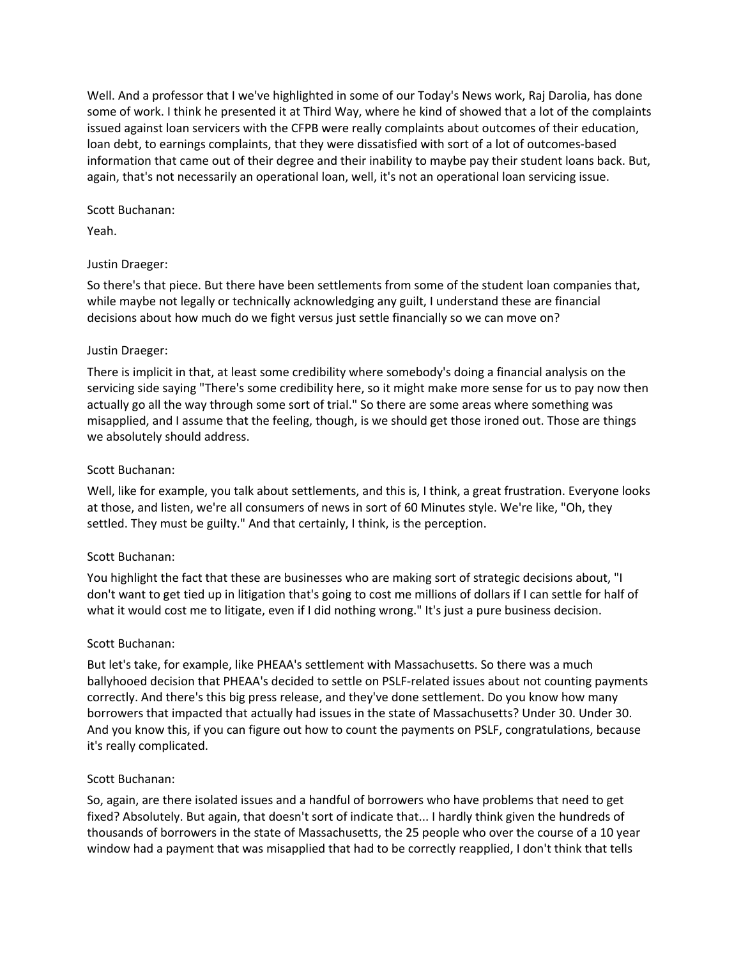Well. And a professor that I we've highlighted in some of our Today's News work, Raj Darolia, has done some of work. I think he presented it at Third Way, where he kind of showed that a lot of the complaints issued against loan servicers with the CFPB were really complaints about outcomes of their education, loan debt, to earnings complaints, that they were dissatisfied with sort of a lot of outcomes-based information that came out of their degree and their inability to maybe pay their student loans back. But, again, that's not necessarily an operational loan, well, it's not an operational loan servicing issue.

# Scott Buchanan:

Yeah.

## Justin Draeger:

So there's that piece. But there have been settlements from some of the student loan companies that, while maybe not legally or technically acknowledging any guilt, I understand these are financial decisions about how much do we fight versus just settle financially so we can move on?

## Justin Draeger:

There is implicit in that, at least some credibility where somebody's doing a financial analysis on the servicing side saying "There's some credibility here, so it might make more sense for us to pay now then actually go all the way through some sort of trial." So there are some areas where something was misapplied, and I assume that the feeling, though, is we should get those ironed out. Those are things we absolutely should address.

## Scott Buchanan:

Well, like for example, you talk about settlements, and this is, I think, a great frustration. Everyone looks at those, and listen, we're all consumers of news in sort of 60 Minutes style. We're like, "Oh, they settled. They must be guilty." And that certainly, I think, is the perception.

# Scott Buchanan:

You highlight the fact that these are businesses who are making sort of strategic decisions about, "I don't want to get tied up in litigation that's going to cost me millions of dollars if I can settle for half of what it would cost me to litigate, even if I did nothing wrong." It's just a pure business decision.

# Scott Buchanan:

But let's take, for example, like PHEAA's settlement with Massachusetts. So there was a much ballyhooed decision that PHEAA's decided to settle on PSLF-related issues about not counting payments correctly. And there's this big press release, and they've done settlement. Do you know how many borrowers that impacted that actually had issues in the state of Massachusetts? Under 30. Under 30. And you know this, if you can figure out how to count the payments on PSLF, congratulations, because it's really complicated.

#### Scott Buchanan:

So, again, are there isolated issues and a handful of borrowers who have problems that need to get fixed? Absolutely. But again, that doesn't sort of indicate that... I hardly think given the hundreds of thousands of borrowers in the state of Massachusetts, the 25 people who over the course of a 10 year window had a payment that was misapplied that had to be correctly reapplied, I don't think that tells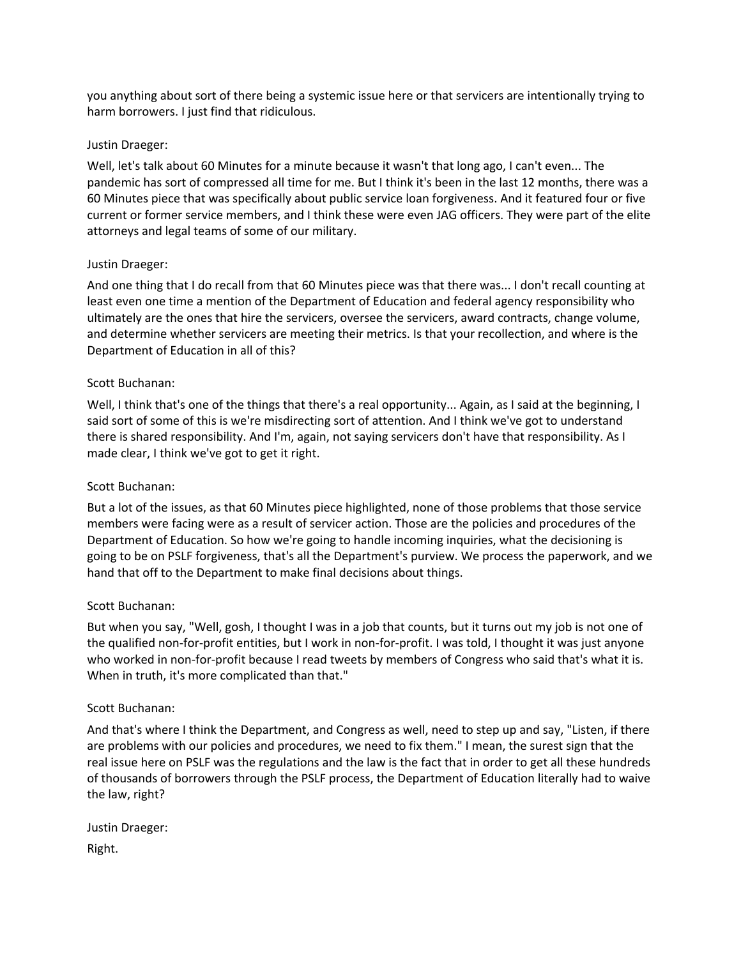you anything about sort of there being a systemic issue here or that servicers are intentionally trying to harm borrowers. I just find that ridiculous.

# Justin Draeger:

Well, let's talk about 60 Minutes for a minute because it wasn't that long ago, I can't even... The pandemic has sort of compressed all time for me. But I think it's been in the last 12 months, there was a 60 Minutes piece that was specifically about public service loan forgiveness. And it featured four or five current or former service members, and I think these were even JAG officers. They were part of the elite attorneys and legal teams of some of our military.

## Justin Draeger:

And one thing that I do recall from that 60 Minutes piece was that there was... I don't recall counting at least even one time a mention of the Department of Education and federal agency responsibility who ultimately are the ones that hire the servicers, oversee the servicers, award contracts, change volume, and determine whether servicers are meeting their metrics. Is that your recollection, and where is the Department of Education in all of this?

## Scott Buchanan:

Well, I think that's one of the things that there's a real opportunity... Again, as I said at the beginning, I said sort of some of this is we're misdirecting sort of attention. And I think we've got to understand there is shared responsibility. And I'm, again, not saying servicers don't have that responsibility. As I made clear, I think we've got to get it right.

# Scott Buchanan:

But a lot of the issues, as that 60 Minutes piece highlighted, none of those problems that those service members were facing were as a result of servicer action. Those are the policies and procedures of the Department of Education. So how we're going to handle incoming inquiries, what the decisioning is going to be on PSLF forgiveness, that's all the Department's purview. We process the paperwork, and we hand that off to the Department to make final decisions about things.

#### Scott Buchanan:

But when you say, "Well, gosh, I thought I was in a job that counts, but it turns out my job is not one of the qualified non-for-profit entities, but I work in non-for-profit. I was told, I thought it was just anyone who worked in non-for-profit because I read tweets by members of Congress who said that's what it is. When in truth, it's more complicated than that."

#### Scott Buchanan:

And that's where I think the Department, and Congress as well, need to step up and say, "Listen, if there are problems with our policies and procedures, we need to fix them." I mean, the surest sign that the real issue here on PSLF was the regulations and the law is the fact that in order to get all these hundreds of thousands of borrowers through the PSLF process, the Department of Education literally had to waive the law, right?

Justin Draeger: Right.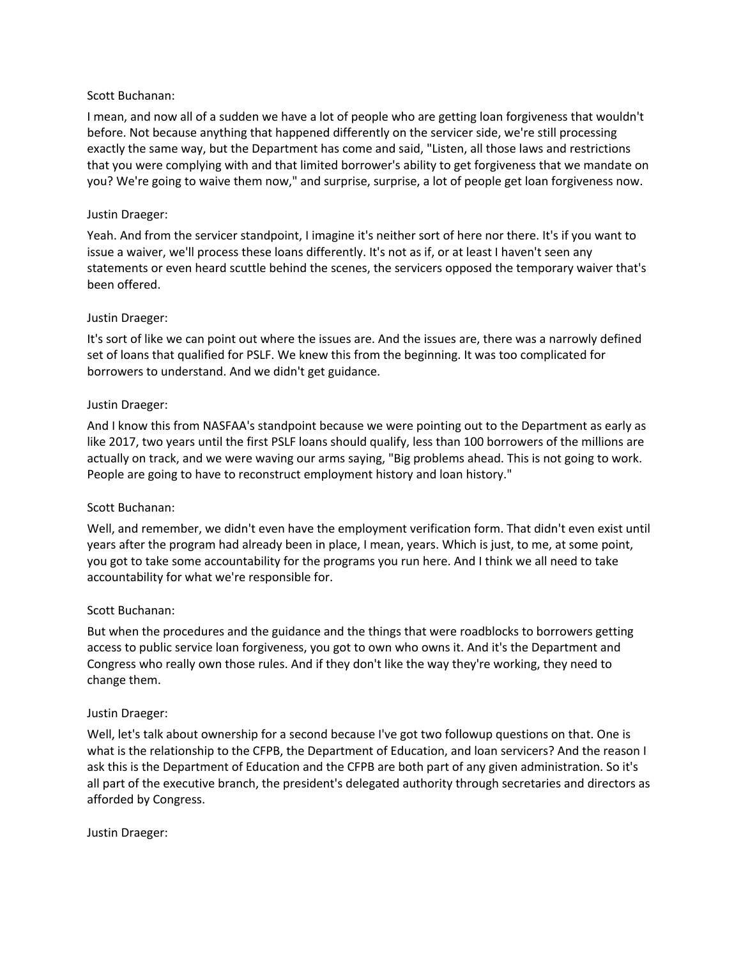# Scott Buchanan:

I mean, and now all of a sudden we have a lot of people who are getting loan forgiveness that wouldn't before. Not because anything that happened differently on the servicer side, we're still processing exactly the same way, but the Department has come and said, "Listen, all those laws and restrictions that you were complying with and that limited borrower's ability to get forgiveness that we mandate on you? We're going to waive them now," and surprise, surprise, a lot of people get loan forgiveness now.

# Justin Draeger:

Yeah. And from the servicer standpoint, I imagine it's neither sort of here nor there. It's if you want to issue a waiver, we'll process these loans differently. It's not as if, or at least I haven't seen any statements or even heard scuttle behind the scenes, the servicers opposed the temporary waiver that's been offered.

## Justin Draeger:

It's sort of like we can point out where the issues are. And the issues are, there was a narrowly defined set of loans that qualified for PSLF. We knew this from the beginning. It was too complicated for borrowers to understand. And we didn't get guidance.

## Justin Draeger:

And I know this from NASFAA's standpoint because we were pointing out to the Department as early as like 2017, two years until the first PSLF loans should qualify, less than 100 borrowers of the millions are actually on track, and we were waving our arms saying, "Big problems ahead. This is not going to work. People are going to have to reconstruct employment history and loan history."

#### Scott Buchanan:

Well, and remember, we didn't even have the employment verification form. That didn't even exist until years after the program had already been in place, I mean, years. Which is just, to me, at some point, you got to take some accountability for the programs you run here. And I think we all need to take accountability for what we're responsible for.

#### Scott Buchanan:

But when the procedures and the guidance and the things that were roadblocks to borrowers getting access to public service loan forgiveness, you got to own who owns it. And it's the Department and Congress who really own those rules. And if they don't like the way they're working, they need to change them.

#### Justin Draeger:

Well, let's talk about ownership for a second because I've got two followup questions on that. One is what is the relationship to the CFPB, the Department of Education, and loan servicers? And the reason I ask this is the Department of Education and the CFPB are both part of any given administration. So it's all part of the executive branch, the president's delegated authority through secretaries and directors as afforded by Congress.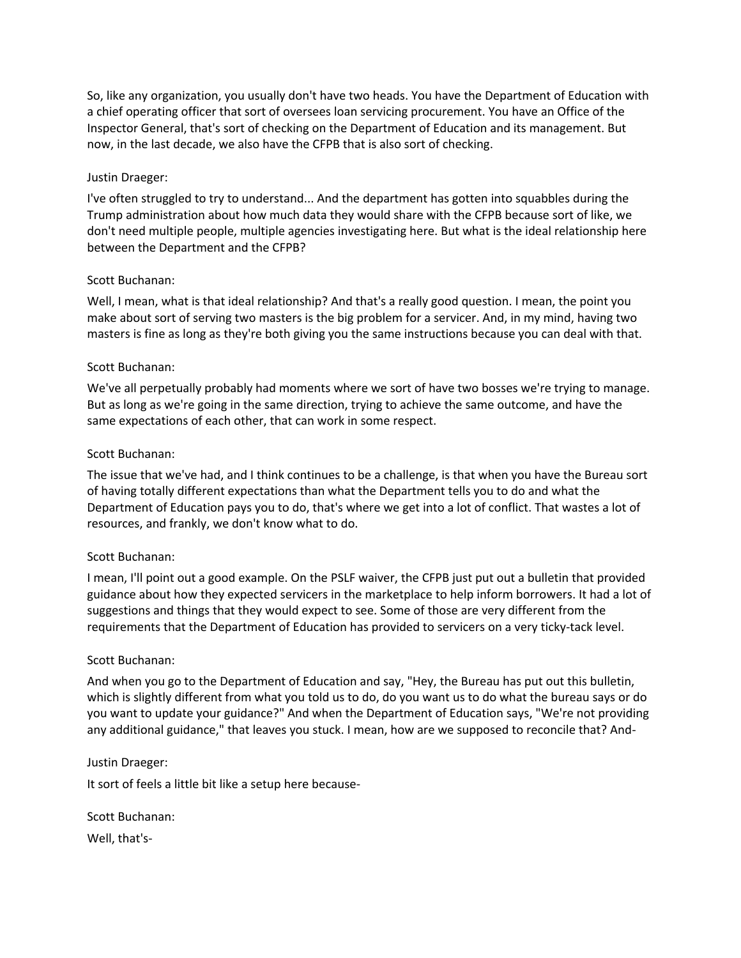So, like any organization, you usually don't have two heads. You have the Department of Education with a chief operating officer that sort of oversees loan servicing procurement. You have an Office of the Inspector General, that's sort of checking on the Department of Education and its management. But now, in the last decade, we also have the CFPB that is also sort of checking.

## Justin Draeger:

I've often struggled to try to understand... And the department has gotten into squabbles during the Trump administration about how much data they would share with the CFPB because sort of like, we don't need multiple people, multiple agencies investigating here. But what is the ideal relationship here between the Department and the CFPB?

#### Scott Buchanan:

Well, I mean, what is that ideal relationship? And that's a really good question. I mean, the point you make about sort of serving two masters is the big problem for a servicer. And, in my mind, having two masters is fine as long as they're both giving you the same instructions because you can deal with that.

## Scott Buchanan:

We've all perpetually probably had moments where we sort of have two bosses we're trying to manage. But as long as we're going in the same direction, trying to achieve the same outcome, and have the same expectations of each other, that can work in some respect.

## Scott Buchanan:

The issue that we've had, and I think continues to be a challenge, is that when you have the Bureau sort of having totally different expectations than what the Department tells you to do and what the Department of Education pays you to do, that's where we get into a lot of conflict. That wastes a lot of resources, and frankly, we don't know what to do.

#### Scott Buchanan:

I mean, I'll point out a good example. On the PSLF waiver, the CFPB just put out a bulletin that provided guidance about how they expected servicers in the marketplace to help inform borrowers. It had a lot of suggestions and things that they would expect to see. Some of those are very different from the requirements that the Department of Education has provided to servicers on a very ticky-tack level.

#### Scott Buchanan:

And when you go to the Department of Education and say, "Hey, the Bureau has put out this bulletin, which is slightly different from what you told us to do, do you want us to do what the bureau says or do you want to update your guidance?" And when the Department of Education says, "We're not providing any additional guidance," that leaves you stuck. I mean, how are we supposed to reconcile that? And-

#### Justin Draeger:

It sort of feels a little bit like a setup here because-

Scott Buchanan: Well, that's-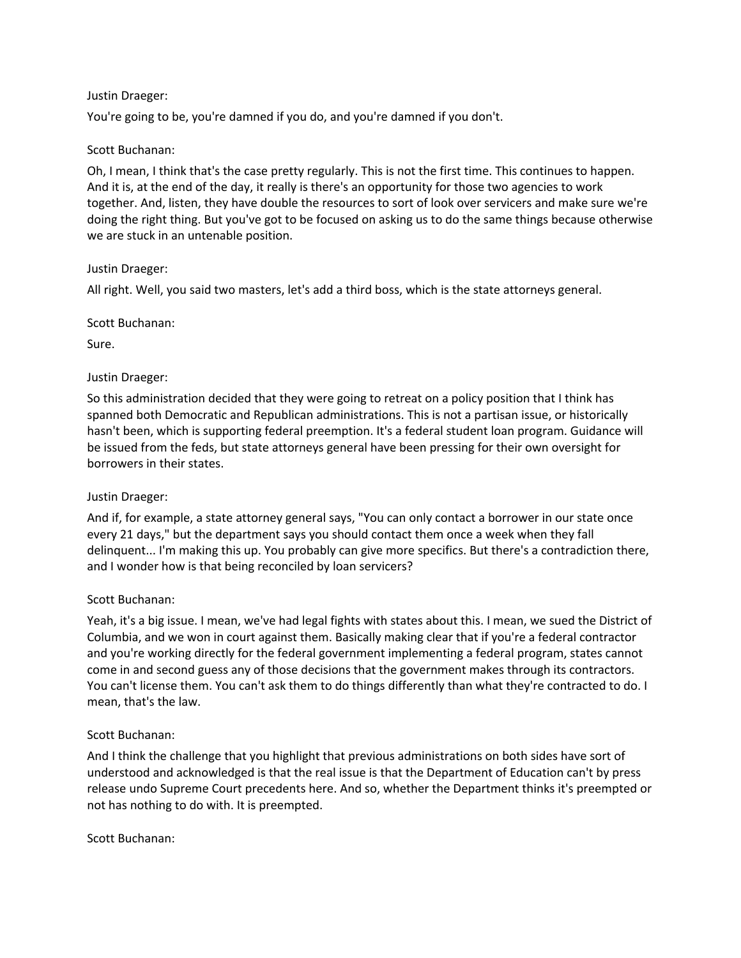You're going to be, you're damned if you do, and you're damned if you don't.

# Scott Buchanan:

Oh, I mean, I think that's the case pretty regularly. This is not the first time. This continues to happen. And it is, at the end of the day, it really is there's an opportunity for those two agencies to work together. And, listen, they have double the resources to sort of look over servicers and make sure we're doing the right thing. But you've got to be focused on asking us to do the same things because otherwise we are stuck in an untenable position.

# Justin Draeger:

All right. Well, you said two masters, let's add a third boss, which is the state attorneys general.

Scott Buchanan:

Sure.

# Justin Draeger:

So this administration decided that they were going to retreat on a policy position that I think has spanned both Democratic and Republican administrations. This is not a partisan issue, or historically hasn't been, which is supporting federal preemption. It's a federal student loan program. Guidance will be issued from the feds, but state attorneys general have been pressing for their own oversight for borrowers in their states.

# Justin Draeger:

And if, for example, a state attorney general says, "You can only contact a borrower in our state once every 21 days," but the department says you should contact them once a week when they fall delinquent... I'm making this up. You probably can give more specifics. But there's a contradiction there, and I wonder how is that being reconciled by loan servicers?

# Scott Buchanan:

Yeah, it's a big issue. I mean, we've had legal fights with states about this. I mean, we sued the District of Columbia, and we won in court against them. Basically making clear that if you're a federal contractor and you're working directly for the federal government implementing a federal program, states cannot come in and second guess any of those decisions that the government makes through its contractors. You can't license them. You can't ask them to do things differently than what they're contracted to do. I mean, that's the law.

# Scott Buchanan:

And I think the challenge that you highlight that previous administrations on both sides have sort of understood and acknowledged is that the real issue is that the Department of Education can't by press release undo Supreme Court precedents here. And so, whether the Department thinks it's preempted or not has nothing to do with. It is preempted.

# Scott Buchanan: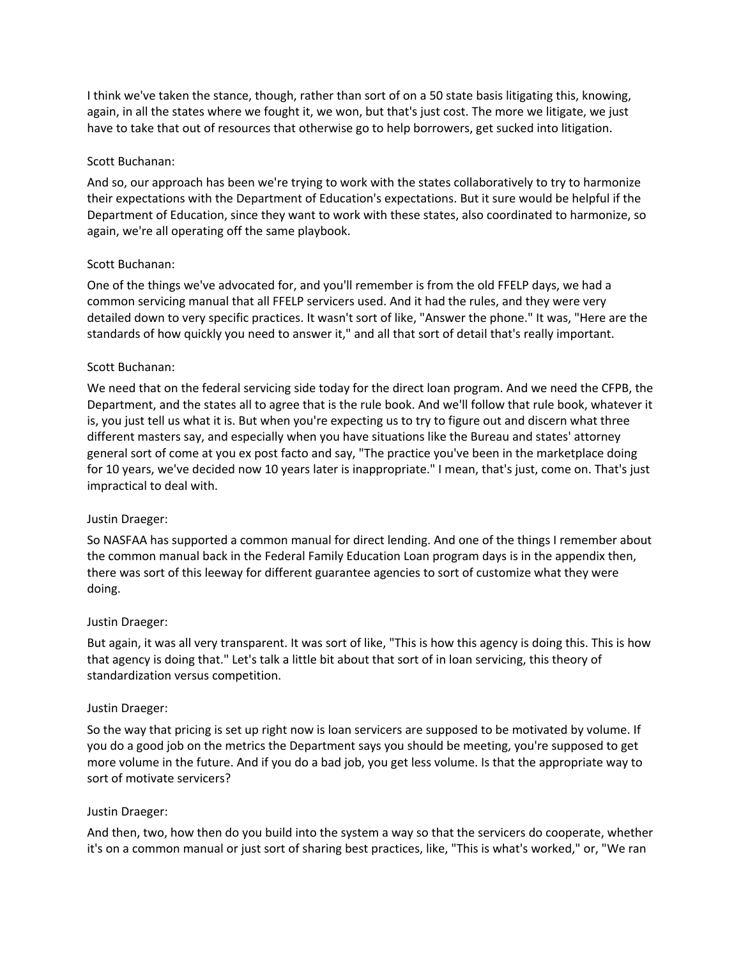I think we've taken the stance, though, rather than sort of on a 50 state basis litigating this, knowing, again, in all the states where we fought it, we won, but that's just cost. The more we litigate, we just have to take that out of resources that otherwise go to help borrowers, get sucked into litigation.

# Scott Buchanan:

And so, our approach has been we're trying to work with the states collaboratively to try to harmonize their expectations with the Department of Education's expectations. But it sure would be helpful if the Department of Education, since they want to work with these states, also coordinated to harmonize, so again, we're all operating off the same playbook.

## Scott Buchanan:

One of the things we've advocated for, and you'll remember is from the old FFELP days, we had a common servicing manual that all FFELP servicers used. And it had the rules, and they were very detailed down to very specific practices. It wasn't sort of like, "Answer the phone." It was, "Here are the standards of how quickly you need to answer it," and all that sort of detail that's really important.

## Scott Buchanan:

We need that on the federal servicing side today for the direct loan program. And we need the CFPB, the Department, and the states all to agree that is the rule book. And we'll follow that rule book, whatever it is, you just tell us what it is. But when you're expecting us to try to figure out and discern what three different masters say, and especially when you have situations like the Bureau and states' attorney general sort of come at you ex post facto and say, "The practice you've been in the marketplace doing for 10 years, we've decided now 10 years later is inappropriate." I mean, that's just, come on. That's just impractical to deal with.

#### Justin Draeger:

So NASFAA has supported a common manual for direct lending. And one of the things I remember about the common manual back in the Federal Family Education Loan program days is in the appendix then, there was sort of this leeway for different guarantee agencies to sort of customize what they were doing.

#### Justin Draeger:

But again, it was all very transparent. It was sort of like, "This is how this agency is doing this. This is how that agency is doing that." Let's talk a little bit about that sort of in loan servicing, this theory of standardization versus competition.

#### Justin Draeger:

So the way that pricing is set up right now is loan servicers are supposed to be motivated by volume. If you do a good job on the metrics the Department says you should be meeting, you're supposed to get more volume in the future. And if you do a bad job, you get less volume. Is that the appropriate way to sort of motivate servicers?

#### Justin Draeger:

And then, two, how then do you build into the system a way so that the servicers do cooperate, whether it's on a common manual or just sort of sharing best practices, like, "This is what's worked," or, "We ran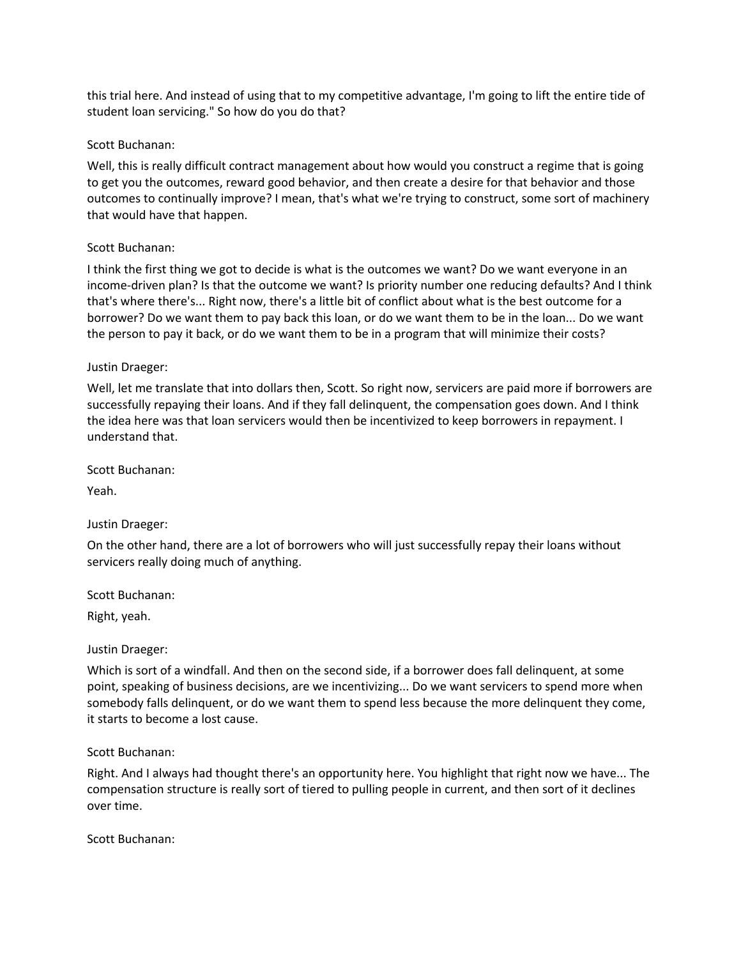this trial here. And instead of using that to my competitive advantage, I'm going to lift the entire tide of student loan servicing." So how do you do that?

# Scott Buchanan:

Well, this is really difficult contract management about how would you construct a regime that is going to get you the outcomes, reward good behavior, and then create a desire for that behavior and those outcomes to continually improve? I mean, that's what we're trying to construct, some sort of machinery that would have that happen.

## Scott Buchanan:

I think the first thing we got to decide is what is the outcomes we want? Do we want everyone in an income-driven plan? Is that the outcome we want? Is priority number one reducing defaults? And I think that's where there's... Right now, there's a little bit of conflict about what is the best outcome for a borrower? Do we want them to pay back this loan, or do we want them to be in the loan... Do we want the person to pay it back, or do we want them to be in a program that will minimize their costs?

## Justin Draeger:

Well, let me translate that into dollars then, Scott. So right now, servicers are paid more if borrowers are successfully repaying their loans. And if they fall delinquent, the compensation goes down. And I think the idea here was that loan servicers would then be incentivized to keep borrowers in repayment. I understand that.

Scott Buchanan:

Yeah.

# Justin Draeger:

On the other hand, there are a lot of borrowers who will just successfully repay their loans without servicers really doing much of anything.

Scott Buchanan:

Right, yeah.

Justin Draeger:

Which is sort of a windfall. And then on the second side, if a borrower does fall delinquent, at some point, speaking of business decisions, are we incentivizing... Do we want servicers to spend more when somebody falls delinquent, or do we want them to spend less because the more delinquent they come, it starts to become a lost cause.

#### Scott Buchanan:

Right. And I always had thought there's an opportunity here. You highlight that right now we have... The compensation structure is really sort of tiered to pulling people in current, and then sort of it declines over time.

Scott Buchanan: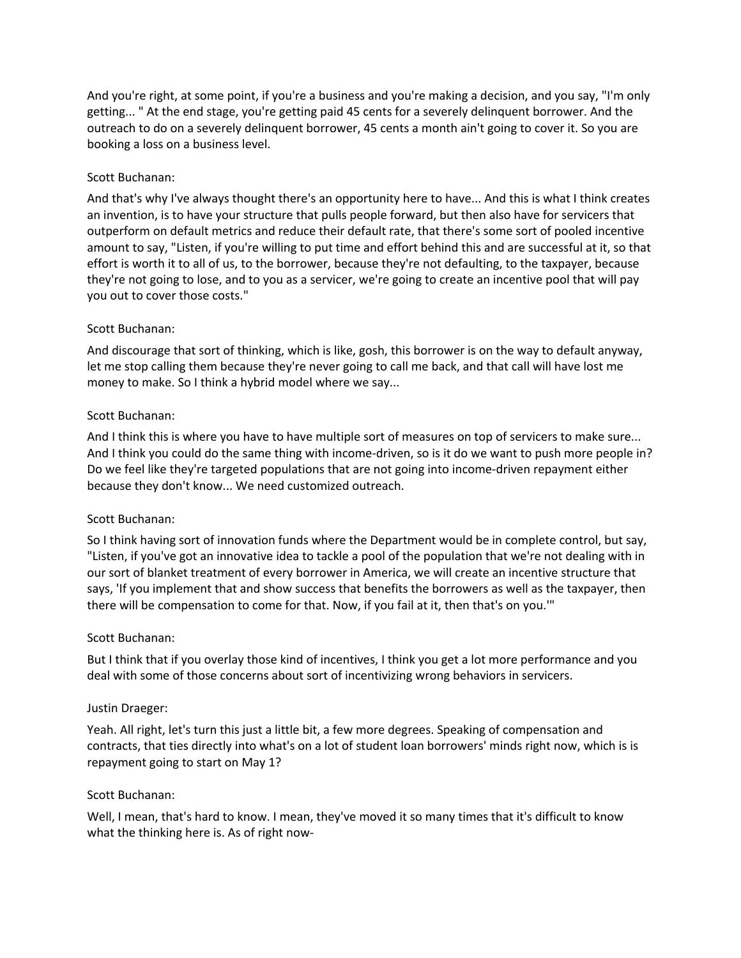And you're right, at some point, if you're a business and you're making a decision, and you say, "I'm only getting... " At the end stage, you're getting paid 45 cents for a severely delinquent borrower. And the outreach to do on a severely delinquent borrower, 45 cents a month ain't going to cover it. So you are booking a loss on a business level.

# Scott Buchanan:

And that's why I've always thought there's an opportunity here to have... And this is what I think creates an invention, is to have your structure that pulls people forward, but then also have for servicers that outperform on default metrics and reduce their default rate, that there's some sort of pooled incentive amount to say, "Listen, if you're willing to put time and effort behind this and are successful at it, so that effort is worth it to all of us, to the borrower, because they're not defaulting, to the taxpayer, because they're not going to lose, and to you as a servicer, we're going to create an incentive pool that will pay you out to cover those costs."

# Scott Buchanan:

And discourage that sort of thinking, which is like, gosh, this borrower is on the way to default anyway, let me stop calling them because they're never going to call me back, and that call will have lost me money to make. So I think a hybrid model where we say...

# Scott Buchanan:

And I think this is where you have to have multiple sort of measures on top of servicers to make sure... And I think you could do the same thing with income-driven, so is it do we want to push more people in? Do we feel like they're targeted populations that are not going into income-driven repayment either because they don't know... We need customized outreach.

# Scott Buchanan:

So I think having sort of innovation funds where the Department would be in complete control, but say, "Listen, if you've got an innovative idea to tackle a pool of the population that we're not dealing with in our sort of blanket treatment of every borrower in America, we will create an incentive structure that says, 'If you implement that and show success that benefits the borrowers as well as the taxpayer, then there will be compensation to come for that. Now, if you fail at it, then that's on you.'"

# Scott Buchanan:

But I think that if you overlay those kind of incentives, I think you get a lot more performance and you deal with some of those concerns about sort of incentivizing wrong behaviors in servicers.

# Justin Draeger:

Yeah. All right, let's turn this just a little bit, a few more degrees. Speaking of compensation and contracts, that ties directly into what's on a lot of student loan borrowers' minds right now, which is is repayment going to start on May 1?

# Scott Buchanan:

Well, I mean, that's hard to know. I mean, they've moved it so many times that it's difficult to know what the thinking here is. As of right now-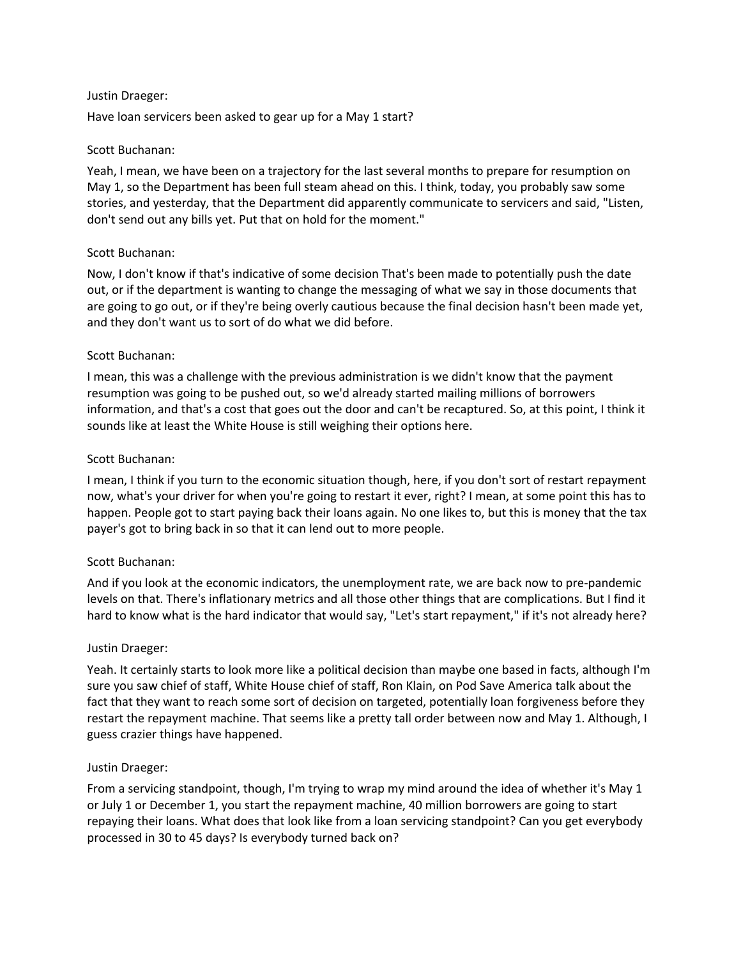Have loan servicers been asked to gear up for a May 1 start?

# Scott Buchanan:

Yeah, I mean, we have been on a trajectory for the last several months to prepare for resumption on May 1, so the Department has been full steam ahead on this. I think, today, you probably saw some stories, and yesterday, that the Department did apparently communicate to servicers and said, "Listen, don't send out any bills yet. Put that on hold for the moment."

# Scott Buchanan:

Now, I don't know if that's indicative of some decision That's been made to potentially push the date out, or if the department is wanting to change the messaging of what we say in those documents that are going to go out, or if they're being overly cautious because the final decision hasn't been made yet, and they don't want us to sort of do what we did before.

## Scott Buchanan:

I mean, this was a challenge with the previous administration is we didn't know that the payment resumption was going to be pushed out, so we'd already started mailing millions of borrowers information, and that's a cost that goes out the door and can't be recaptured. So, at this point, I think it sounds like at least the White House is still weighing their options here.

## Scott Buchanan:

I mean, I think if you turn to the economic situation though, here, if you don't sort of restart repayment now, what's your driver for when you're going to restart it ever, right? I mean, at some point this has to happen. People got to start paying back their loans again. No one likes to, but this is money that the tax payer's got to bring back in so that it can lend out to more people.

# Scott Buchanan:

And if you look at the economic indicators, the unemployment rate, we are back now to pre-pandemic levels on that. There's inflationary metrics and all those other things that are complications. But I find it hard to know what is the hard indicator that would say, "Let's start repayment," if it's not already here?

# Justin Draeger:

Yeah. It certainly starts to look more like a political decision than maybe one based in facts, although I'm sure you saw chief of staff, White House chief of staff, Ron Klain, on Pod Save America talk about the fact that they want to reach some sort of decision on targeted, potentially loan forgiveness before they restart the repayment machine. That seems like a pretty tall order between now and May 1. Although, I guess crazier things have happened.

# Justin Draeger:

From a servicing standpoint, though, I'm trying to wrap my mind around the idea of whether it's May 1 or July 1 or December 1, you start the repayment machine, 40 million borrowers are going to start repaying their loans. What does that look like from a loan servicing standpoint? Can you get everybody processed in 30 to 45 days? Is everybody turned back on?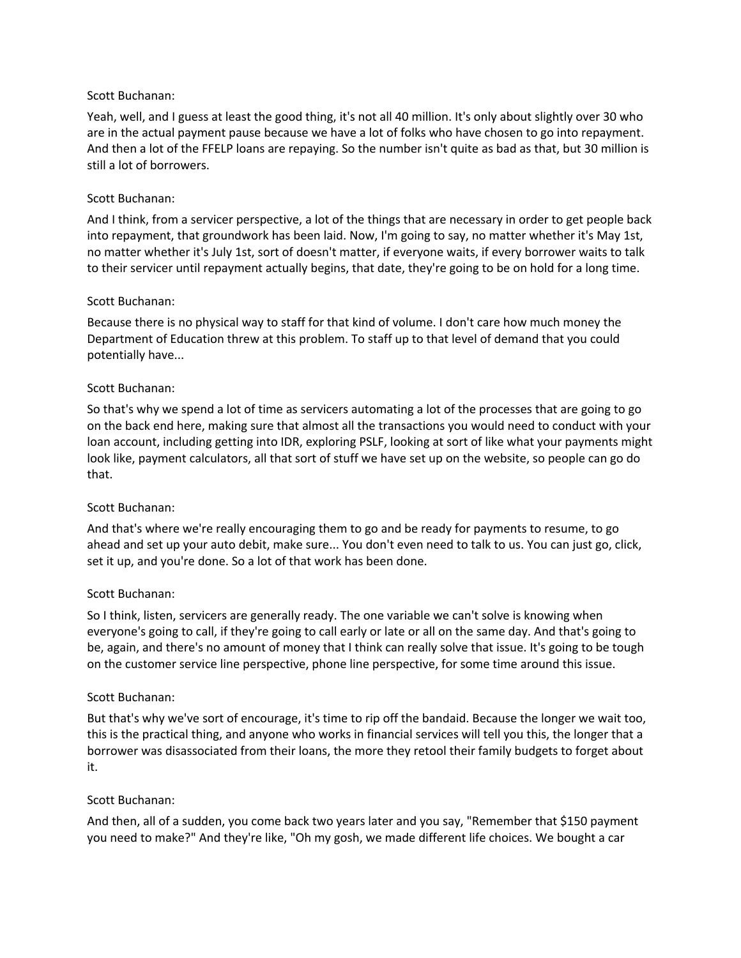# Scott Buchanan:

Yeah, well, and I guess at least the good thing, it's not all 40 million. It's only about slightly over 30 who are in the actual payment pause because we have a lot of folks who have chosen to go into repayment. And then a lot of the FFELP loans are repaying. So the number isn't quite as bad as that, but 30 million is still a lot of borrowers.

## Scott Buchanan:

And I think, from a servicer perspective, a lot of the things that are necessary in order to get people back into repayment, that groundwork has been laid. Now, I'm going to say, no matter whether it's May 1st, no matter whether it's July 1st, sort of doesn't matter, if everyone waits, if every borrower waits to talk to their servicer until repayment actually begins, that date, they're going to be on hold for a long time.

## Scott Buchanan:

Because there is no physical way to staff for that kind of volume. I don't care how much money the Department of Education threw at this problem. To staff up to that level of demand that you could potentially have...

## Scott Buchanan:

So that's why we spend a lot of time as servicers automating a lot of the processes that are going to go on the back end here, making sure that almost all the transactions you would need to conduct with your loan account, including getting into IDR, exploring PSLF, looking at sort of like what your payments might look like, payment calculators, all that sort of stuff we have set up on the website, so people can go do that.

#### Scott Buchanan:

And that's where we're really encouraging them to go and be ready for payments to resume, to go ahead and set up your auto debit, make sure... You don't even need to talk to us. You can just go, click, set it up, and you're done. So a lot of that work has been done.

#### Scott Buchanan:

So I think, listen, servicers are generally ready. The one variable we can't solve is knowing when everyone's going to call, if they're going to call early or late or all on the same day. And that's going to be, again, and there's no amount of money that I think can really solve that issue. It's going to be tough on the customer service line perspective, phone line perspective, for some time around this issue.

#### Scott Buchanan:

But that's why we've sort of encourage, it's time to rip off the bandaid. Because the longer we wait too, this is the practical thing, and anyone who works in financial services will tell you this, the longer that a borrower was disassociated from their loans, the more they retool their family budgets to forget about it.

#### Scott Buchanan:

And then, all of a sudden, you come back two years later and you say, "Remember that \$150 payment you need to make?" And they're like, "Oh my gosh, we made different life choices. We bought a car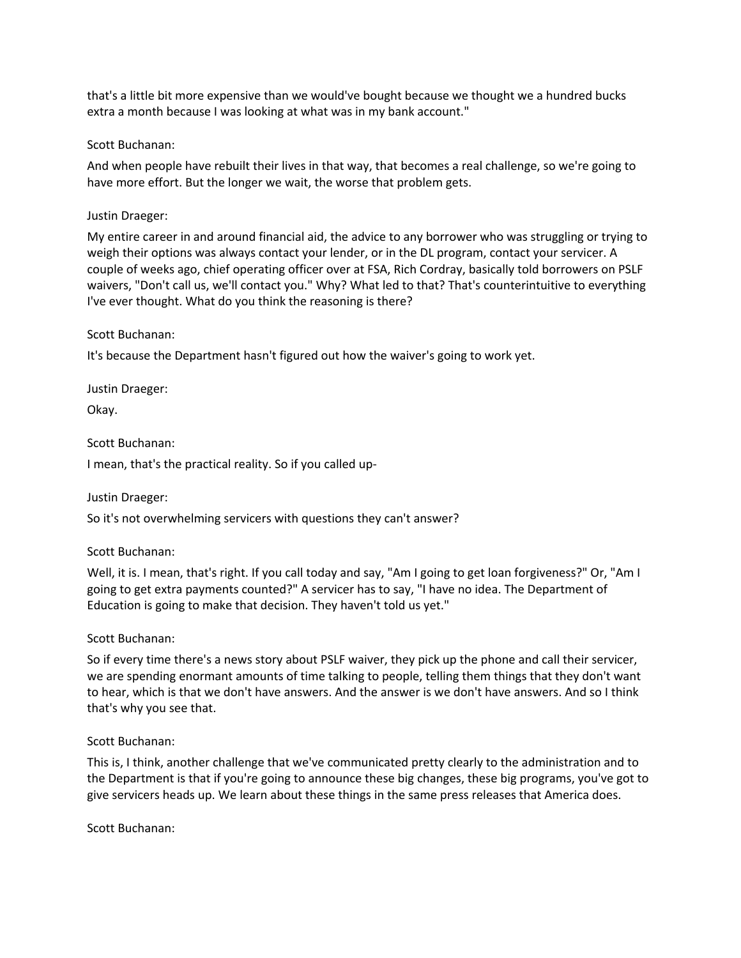that's a little bit more expensive than we would've bought because we thought we a hundred bucks extra a month because I was looking at what was in my bank account."

# Scott Buchanan:

And when people have rebuilt their lives in that way, that becomes a real challenge, so we're going to have more effort. But the longer we wait, the worse that problem gets.

## Justin Draeger:

My entire career in and around financial aid, the advice to any borrower who was struggling or trying to weigh their options was always contact your lender, or in the DL program, contact your servicer. A couple of weeks ago, chief operating officer over at FSA, Rich Cordray, basically told borrowers on PSLF waivers, "Don't call us, we'll contact you." Why? What led to that? That's counterintuitive to everything I've ever thought. What do you think the reasoning is there?

## Scott Buchanan:

It's because the Department hasn't figured out how the waiver's going to work yet.

Justin Draeger:

Okay.

Scott Buchanan:

I mean, that's the practical reality. So if you called up-

Justin Draeger:

So it's not overwhelming servicers with questions they can't answer?

# Scott Buchanan:

Well, it is. I mean, that's right. If you call today and say, "Am I going to get loan forgiveness?" Or, "Am I going to get extra payments counted?" A servicer has to say, "I have no idea. The Department of Education is going to make that decision. They haven't told us yet."

#### Scott Buchanan:

So if every time there's a news story about PSLF waiver, they pick up the phone and call their servicer, we are spending enormant amounts of time talking to people, telling them things that they don't want to hear, which is that we don't have answers. And the answer is we don't have answers. And so I think that's why you see that.

# Scott Buchanan:

This is, I think, another challenge that we've communicated pretty clearly to the administration and to the Department is that if you're going to announce these big changes, these big programs, you've got to give servicers heads up. We learn about these things in the same press releases that America does.

Scott Buchanan: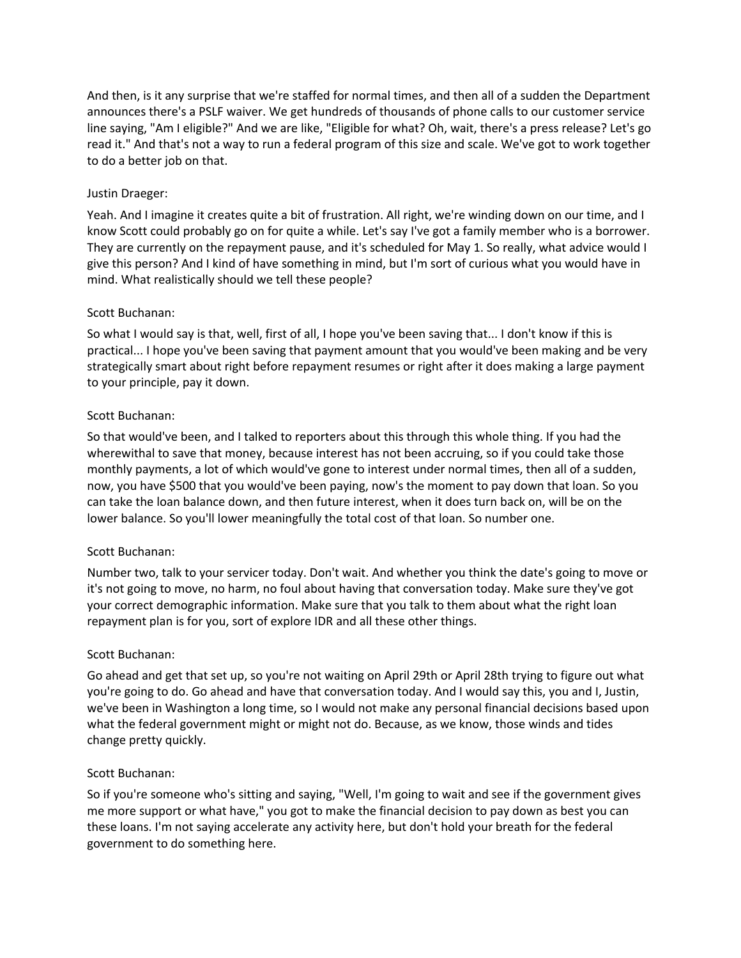And then, is it any surprise that we're staffed for normal times, and then all of a sudden the Department announces there's a PSLF waiver. We get hundreds of thousands of phone calls to our customer service line saying, "Am I eligible?" And we are like, "Eligible for what? Oh, wait, there's a press release? Let's go read it." And that's not a way to run a federal program of this size and scale. We've got to work together to do a better job on that.

# Justin Draeger:

Yeah. And I imagine it creates quite a bit of frustration. All right, we're winding down on our time, and I know Scott could probably go on for quite a while. Let's say I've got a family member who is a borrower. They are currently on the repayment pause, and it's scheduled for May 1. So really, what advice would I give this person? And I kind of have something in mind, but I'm sort of curious what you would have in mind. What realistically should we tell these people?

# Scott Buchanan:

So what I would say is that, well, first of all, I hope you've been saving that... I don't know if this is practical... I hope you've been saving that payment amount that you would've been making and be very strategically smart about right before repayment resumes or right after it does making a large payment to your principle, pay it down.

# Scott Buchanan:

So that would've been, and I talked to reporters about this through this whole thing. If you had the wherewithal to save that money, because interest has not been accruing, so if you could take those monthly payments, a lot of which would've gone to interest under normal times, then all of a sudden, now, you have \$500 that you would've been paying, now's the moment to pay down that loan. So you can take the loan balance down, and then future interest, when it does turn back on, will be on the lower balance. So you'll lower meaningfully the total cost of that loan. So number one.

# Scott Buchanan:

Number two, talk to your servicer today. Don't wait. And whether you think the date's going to move or it's not going to move, no harm, no foul about having that conversation today. Make sure they've got your correct demographic information. Make sure that you talk to them about what the right loan repayment plan is for you, sort of explore IDR and all these other things.

# Scott Buchanan:

Go ahead and get that set up, so you're not waiting on April 29th or April 28th trying to figure out what you're going to do. Go ahead and have that conversation today. And I would say this, you and I, Justin, we've been in Washington a long time, so I would not make any personal financial decisions based upon what the federal government might or might not do. Because, as we know, those winds and tides change pretty quickly.

# Scott Buchanan:

So if you're someone who's sitting and saying, "Well, I'm going to wait and see if the government gives me more support or what have," you got to make the financial decision to pay down as best you can these loans. I'm not saying accelerate any activity here, but don't hold your breath for the federal government to do something here.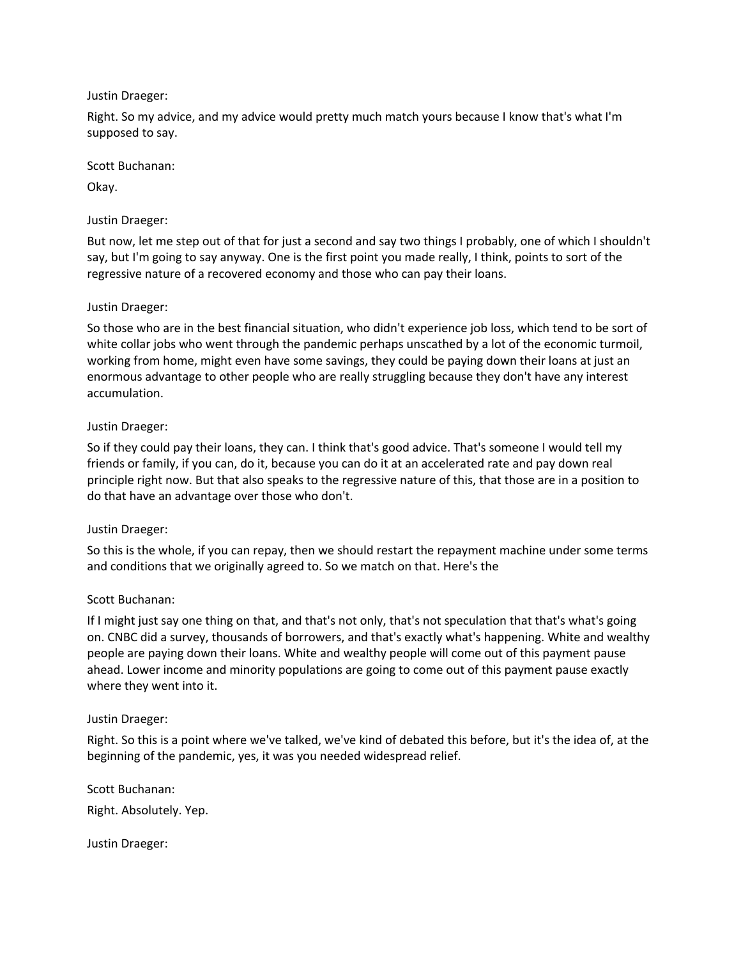Right. So my advice, and my advice would pretty much match yours because I know that's what I'm supposed to say.

Scott Buchanan:

Okay.

# Justin Draeger:

But now, let me step out of that for just a second and say two things I probably, one of which I shouldn't say, but I'm going to say anyway. One is the first point you made really, I think, points to sort of the regressive nature of a recovered economy and those who can pay their loans.

# Justin Draeger:

So those who are in the best financial situation, who didn't experience job loss, which tend to be sort of white collar jobs who went through the pandemic perhaps unscathed by a lot of the economic turmoil, working from home, might even have some savings, they could be paying down their loans at just an enormous advantage to other people who are really struggling because they don't have any interest accumulation.

# Justin Draeger:

So if they could pay their loans, they can. I think that's good advice. That's someone I would tell my friends or family, if you can, do it, because you can do it at an accelerated rate and pay down real principle right now. But that also speaks to the regressive nature of this, that those are in a position to do that have an advantage over those who don't.

# Justin Draeger:

So this is the whole, if you can repay, then we should restart the repayment machine under some terms and conditions that we originally agreed to. So we match on that. Here's the

# Scott Buchanan:

If I might just say one thing on that, and that's not only, that's not speculation that that's what's going on. CNBC did a survey, thousands of borrowers, and that's exactly what's happening. White and wealthy people are paying down their loans. White and wealthy people will come out of this payment pause ahead. Lower income and minority populations are going to come out of this payment pause exactly where they went into it.

# Justin Draeger:

Right. So this is a point where we've talked, we've kind of debated this before, but it's the idea of, at the beginning of the pandemic, yes, it was you needed widespread relief.

Scott Buchanan: Right. Absolutely. Yep.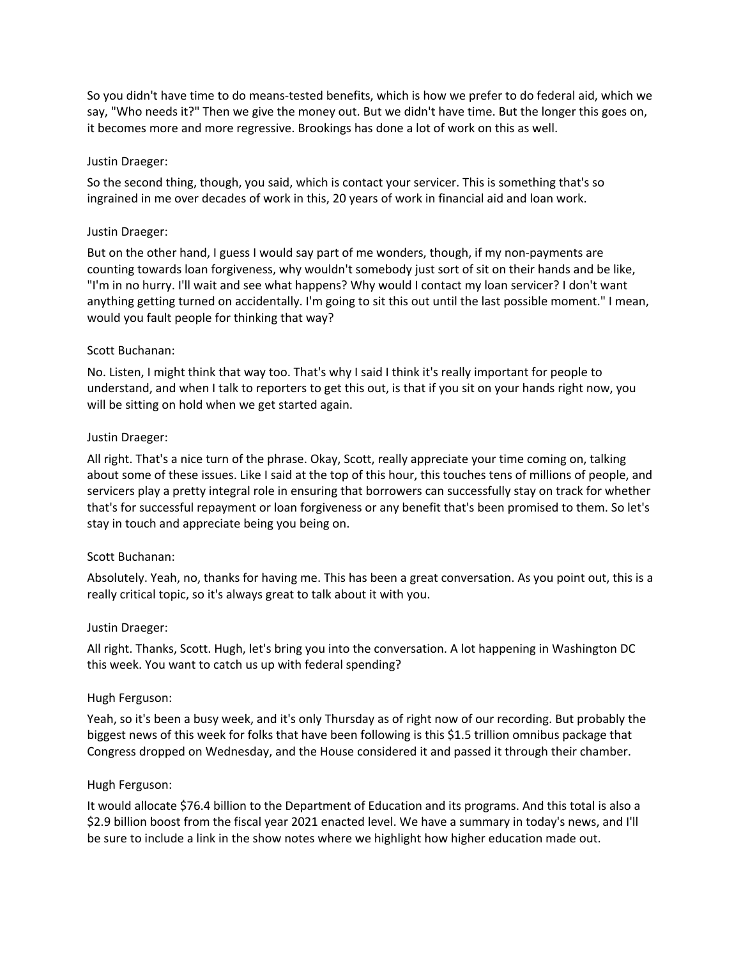So you didn't have time to do means-tested benefits, which is how we prefer to do federal aid, which we say, "Who needs it?" Then we give the money out. But we didn't have time. But the longer this goes on, it becomes more and more regressive. Brookings has done a lot of work on this as well.

# Justin Draeger:

So the second thing, though, you said, which is contact your servicer. This is something that's so ingrained in me over decades of work in this, 20 years of work in financial aid and loan work.

## Justin Draeger:

But on the other hand, I guess I would say part of me wonders, though, if my non-payments are counting towards loan forgiveness, why wouldn't somebody just sort of sit on their hands and be like, "I'm in no hurry. I'll wait and see what happens? Why would I contact my loan servicer? I don't want anything getting turned on accidentally. I'm going to sit this out until the last possible moment." I mean, would you fault people for thinking that way?

## Scott Buchanan:

No. Listen, I might think that way too. That's why I said I think it's really important for people to understand, and when I talk to reporters to get this out, is that if you sit on your hands right now, you will be sitting on hold when we get started again.

## Justin Draeger:

All right. That's a nice turn of the phrase. Okay, Scott, really appreciate your time coming on, talking about some of these issues. Like I said at the top of this hour, this touches tens of millions of people, and servicers play a pretty integral role in ensuring that borrowers can successfully stay on track for whether that's for successful repayment or loan forgiveness or any benefit that's been promised to them. So let's stay in touch and appreciate being you being on.

#### Scott Buchanan:

Absolutely. Yeah, no, thanks for having me. This has been a great conversation. As you point out, this is a really critical topic, so it's always great to talk about it with you.

#### Justin Draeger:

All right. Thanks, Scott. Hugh, let's bring you into the conversation. A lot happening in Washington DC this week. You want to catch us up with federal spending?

# Hugh Ferguson:

Yeah, so it's been a busy week, and it's only Thursday as of right now of our recording. But probably the biggest news of this week for folks that have been following is this \$1.5 trillion omnibus package that Congress dropped on Wednesday, and the House considered it and passed it through their chamber.

#### Hugh Ferguson:

It would allocate \$76.4 billion to the Department of Education and its programs. And this total is also a \$2.9 billion boost from the fiscal year 2021 enacted level. We have a summary in today's news, and I'll be sure to include a link in the show notes where we highlight how higher education made out.